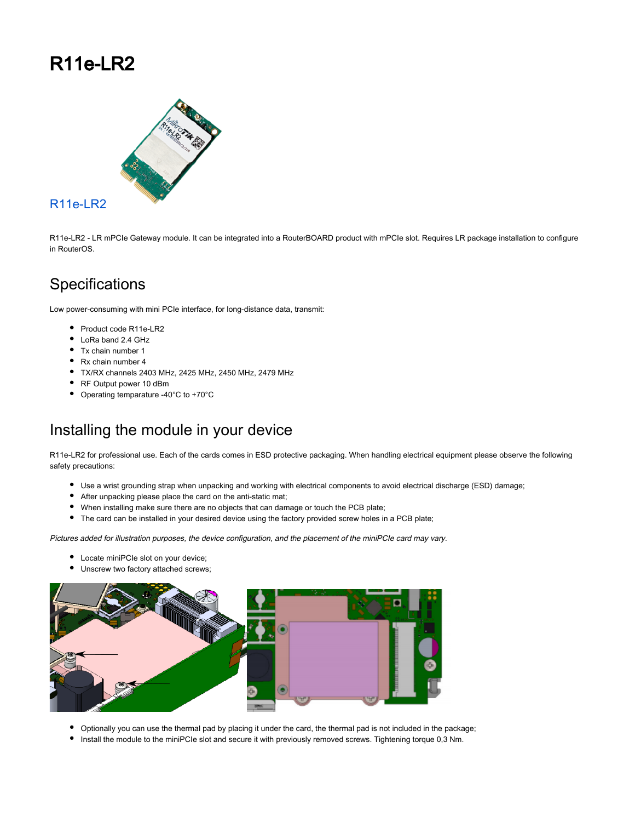## R11e-LR2



#### [R11e-LR2](https://mikrotik.com/product/r11e_lr2)

R11e-LR2 - LR mPCIe Gateway module. It can be integrated into a RouterBOARD product with mPCIe slot. Requires LR package installation to configure in RouterOS.

#### **Specifications**

Low power-consuming with mini PCIe interface, for long-distance data, transmit:

- Product code R11e-LR2
- LoRa band 2.4 GHz
- Tx chain number 1
- Rx chain number 4
- TX/RX channels 2403 MHz, 2425 MHz, 2450 MHz, 2479 MHz
- RF Output power 10 dBm
- Operating temparature -40°C to +70°C

#### Installing the module in your device

R11e-LR2 for professional use. Each of the cards comes in ESD protective packaging. When handling electrical equipment please observe the following safety precautions:

- Use a wrist grounding strap when unpacking and working with electrical components to avoid electrical discharge (ESD) damage;
- After unpacking please place the card on the anti-static mat;
- When installing make sure there are no objects that can damage or touch the PCB plate;
- The card can be installed in your desired device using the factory provided screw holes in a PCB plate;

Pictures added for illustration purposes, the device configuration, and the placement of the miniPCIe card may vary.

- Locate miniPCIe slot on your device;
- $\bullet$  Unscrew two factory attached screws;



- Optionally you can use the thermal pad by placing it under the card, the thermal pad is not included in the package;
- Install the module to the miniPCIe slot and secure it with previously removed screws. Tightening torque 0,3 Nm.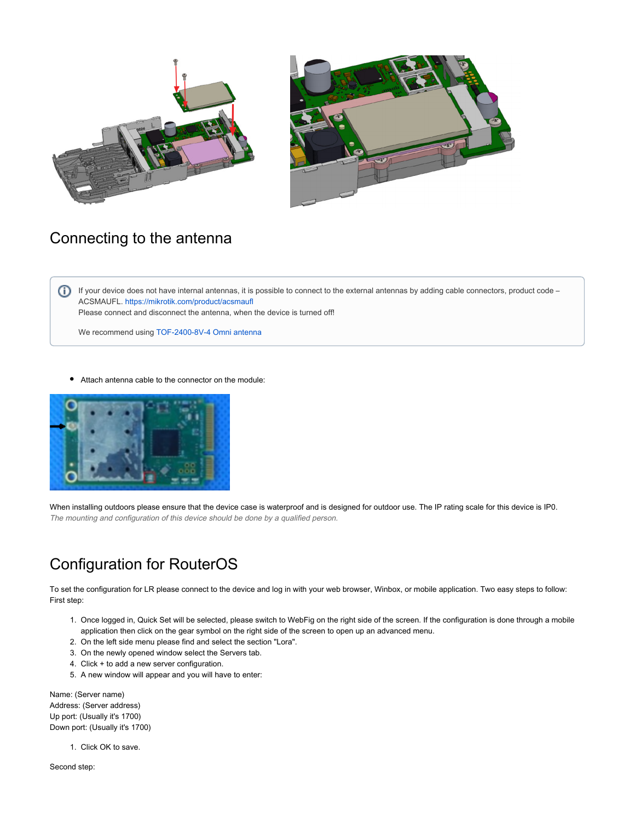



#### Connecting to the antenna

If your device does not have internal antennas, it is possible to connect to the external antennas by adding cable connectors, product code – ACSMAUFL. <https://mikrotik.com/product/acsmaufl>

Please connect and disconnect the antenna, when the device is turned off!

We recommend using [TOF-2400-8V-4 Omni antenna](https://mikrotik.com/product/tof_2400_8v_4)

 $\bullet$ Attach antenna cable to the connector on the module:



When installing outdoors please ensure that the device case is waterproof and is designed for outdoor use. The IP rating scale for this device is IP0. The mounting and configuration of this device should be done by a qualified person.

#### Configuration for RouterOS

To set the configuration for LR please connect to the device and log in with your web browser, Winbox, or mobile application. Two easy steps to follow: First step:

- 1. Once logged in, Quick Set will be selected, please switch to WebFig on the right side of the screen. If the configuration is done through a mobile application then click on the gear symbol on the right side of the screen to open up an advanced menu.
- 2. On the left side menu please find and select the section "Lora".
- 3. On the newly opened window select the Servers tab.
- 4. Click + to add a new server configuration.
- 5. A new window will appear and you will have to enter:

Name: (Server name) Address: (Server address) Up port: (Usually it's 1700) Down port: (Usually it's 1700)

1. Click OK to save.

Second step: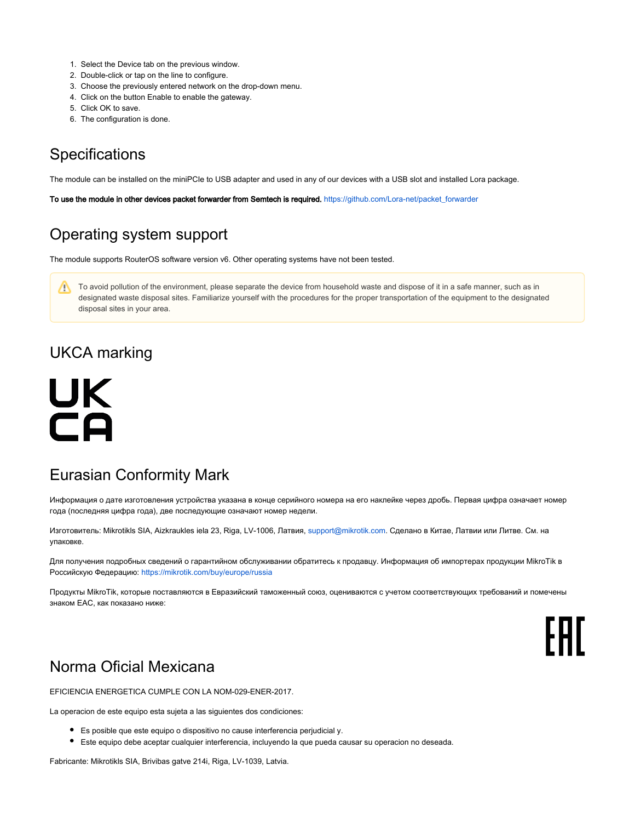- 1. Select the Device tab on the previous window.
- 2. Double-click or tap on the line to configure.
- 3. Choose the previously entered network on the drop-down menu.
- 4. Click on the button Enable to enable the gateway.
- 5. Click OK to save.
- 6. The configuration is done.

### **Specifications**

The module can be installed on the miniPCIe to USB adapter and used in any of our devices with a USB slot and installed Lora package.

To use the module in other devices packet forwarder from Semtech is required. [https://github.com/Lora-net/packet\\_forwarder](https://github.com/Lora-net/packet_forwarder)

#### Operating system support

The module supports RouterOS software version v6. Other operating systems have not been tested.

To avoid pollution of the environment, please separate the device from household waste and dispose of it in a safe manner, such as in designated waste disposal sites. Familiarize yourself with the procedures for the proper transportation of the equipment to the designated disposal sites in your area.

#### UKCA marking

# UK **CA**

#### Eurasian Conformity Mark

Информация о дате изготовления устройства указана в конце серийного номера на его наклейке через дробь. Первая цифра означает номер года (последняя цифра года), две последующие означают номер недели.

Изготовитель: Mikrotikls SIA, Aizkraukles iela 23, Riga, LV-1006, Латвия, [support@mikrotik.com.](mailto:support@mikrotik.com) Сделано в Китае, Латвии или Литве. Cм. на упаковке.

Для получения подробных сведений о гарантийном обслуживании обратитесь к продавцу. Информация об импортерах продукции MikroTik в Российскую Федерацию: <https://mikrotik.com/buy/europe/russia>

Продукты MikroTik, которые поставляются в Евразийский таможенный союз, оцениваются с учетом соответствующих требований и помечены знаком EAC, как показано ниже:

# FAT

#### Norma Oficial Mexicana

EFICIENCIA ENERGETICA CUMPLE CON LA NOM-029-ENER-2017.

La operacion de este equipo esta sujeta a las siguientes dos condiciones:

- Es posible que este equipo o dispositivo no cause interferencia perjudicial y.
- Este equipo debe aceptar cualquier interferencia, incluyendo la que pueda causar su operacion no deseada.

Fabricante: Mikrotikls SIA, Brivibas gatve 214i, Riga, LV-1039, Latvia.